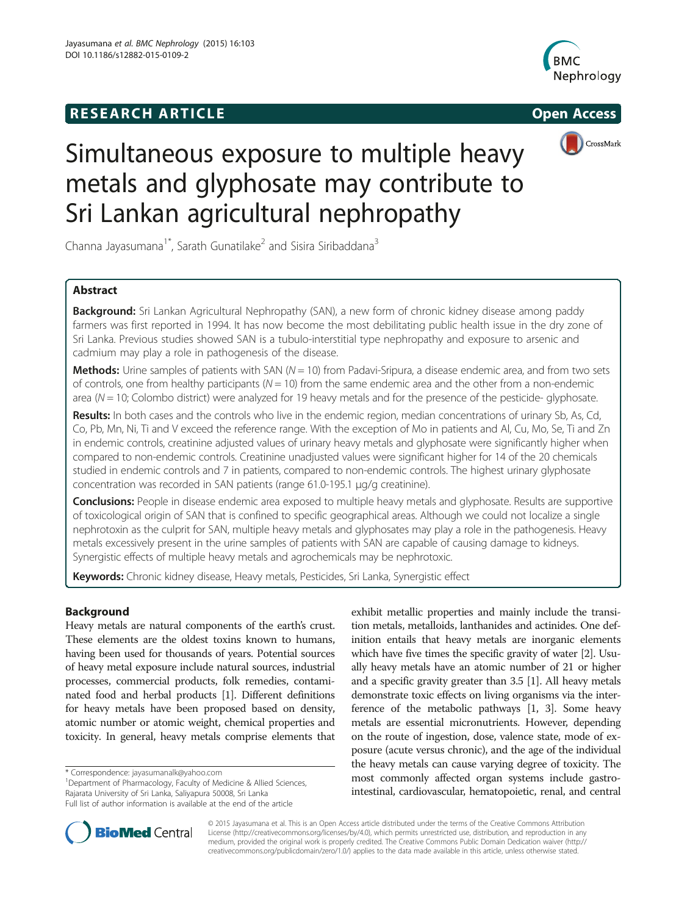# **RESEARCH ARTICLE Example 2014 The SEAR CH ACCESS**





# Simultaneous exposure to multiple heavy metals and glyphosate may contribute to Sri Lankan agricultural nephropathy

Channa Jayasumana<sup>1\*</sup>, Sarath Gunatilake<sup>2</sup> and Sisira Siribaddana<sup>3</sup>

# Abstract

Background: Sri Lankan Agricultural Nephropathy (SAN), a new form of chronic kidney disease among paddy farmers was first reported in 1994. It has now become the most debilitating public health issue in the dry zone of Sri Lanka. Previous studies showed SAN is a tubulo-interstitial type nephropathy and exposure to arsenic and cadmium may play a role in pathogenesis of the disease.

**Methods:** Urine samples of patients with SAN ( $N = 10$ ) from Padavi-Sripura, a disease endemic area, and from two sets of controls, one from healthy participants ( $N = 10$ ) from the same endemic area and the other from a non-endemic area ( $N = 10$ ; Colombo district) were analyzed for 19 heavy metals and for the presence of the pesticide- glyphosate.

Results: In both cases and the controls who live in the endemic region, median concentrations of urinary Sb, As, Cd, Co, Pb, Mn, Ni, Ti and V exceed the reference range. With the exception of Mo in patients and Al, Cu, Mo, Se, Ti and Zn in endemic controls, creatinine adjusted values of urinary heavy metals and glyphosate were significantly higher when compared to non-endemic controls. Creatinine unadjusted values were significant higher for 14 of the 20 chemicals studied in endemic controls and 7 in patients, compared to non-endemic controls. The highest urinary glyphosate concentration was recorded in SAN patients (range 61.0-195.1 μg/g creatinine).

**Conclusions:** People in disease endemic area exposed to multiple heavy metals and glyphosate. Results are supportive of toxicological origin of SAN that is confined to specific geographical areas. Although we could not localize a single nephrotoxin as the culprit for SAN, multiple heavy metals and glyphosates may play a role in the pathogenesis. Heavy metals excessively present in the urine samples of patients with SAN are capable of causing damage to kidneys. Synergistic effects of multiple heavy metals and agrochemicals may be nephrotoxic.

Keywords: Chronic kidney disease, Heavy metals, Pesticides, Sri Lanka, Synergistic effect

# Background

Heavy metals are natural components of the earth's crust. These elements are the oldest toxins known to humans, having been used for thousands of years. Potential sources of heavy metal exposure include natural sources, industrial processes, commercial products, folk remedies, contaminated food and herbal products [\[1](#page-6-0)]. Different definitions for heavy metals have been proposed based on density, atomic number or atomic weight, chemical properties and toxicity. In general, heavy metals comprise elements that

<sup>1</sup>Department of Pharmacology, Faculty of Medicine & Allied Sciences, Rajarata University of Sri Lanka, Saliyapura 50008, Sri Lanka Full list of author information is available at the end of the article

exhibit metallic properties and mainly include the transition metals, metalloids, lanthanides and actinides. One definition entails that heavy metals are inorganic elements which have five times the specific gravity of water [[2](#page-7-0)]. Usually heavy metals have an atomic number of 21 or higher and a specific gravity greater than 3.5 [\[1\]](#page-6-0). All heavy metals demonstrate toxic effects on living organisms via the interference of the metabolic pathways [\[1](#page-6-0), [3\]](#page-7-0). Some heavy metals are essential micronutrients. However, depending on the route of ingestion, dose, valence state, mode of exposure (acute versus chronic), and the age of the individual the heavy metals can cause varying degree of toxicity. The most commonly affected organ systems include gastrointestinal, cardiovascular, hematopoietic, renal, and central



© 2015 Jayasumana et al. This is an Open Access article distributed under the terms of the Creative Commons Attribution License (<http://creativecommons.org/licenses/by/4.0>), which permits unrestricted use, distribution, and reproduction in any medium, provided the original work is properly credited. The Creative Commons Public Domain Dedication waiver [\(http://](http://creativecommons.org/publicdomain/zero/1.0/) [creativecommons.org/publicdomain/zero/1.0/\)](http://creativecommons.org/publicdomain/zero/1.0/) applies to the data made available in this article, unless otherwise stated.

<sup>\*</sup> Correspondence: [jayasumanalk@yahoo.com](mailto:jayasumanalk@yahoo.com) <sup>1</sup>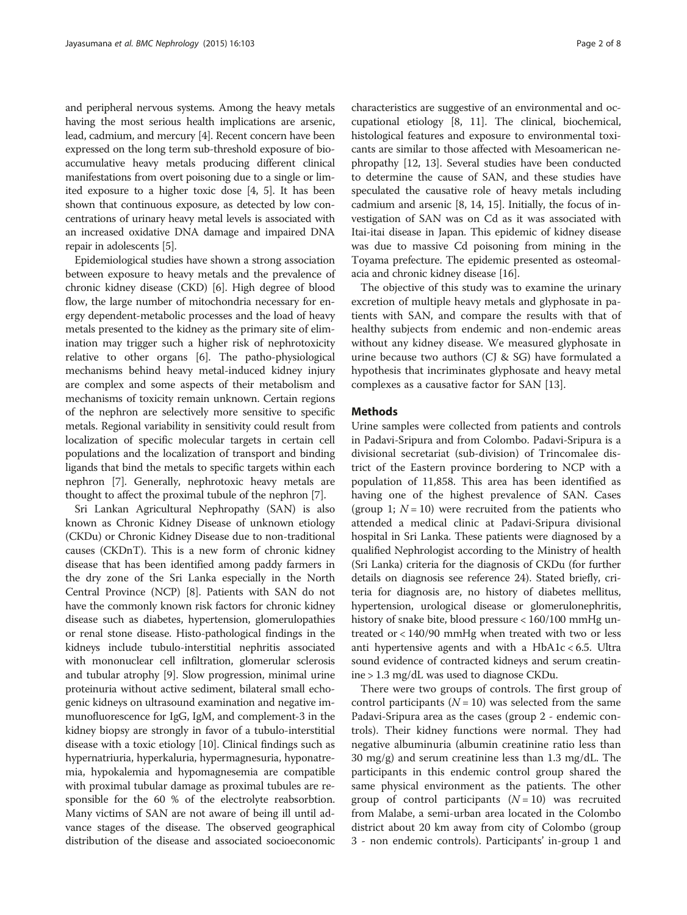and peripheral nervous systems. Among the heavy metals having the most serious health implications are arsenic, lead, cadmium, and mercury [\[4\]](#page-7-0). Recent concern have been expressed on the long term sub-threshold exposure of bioaccumulative heavy metals producing different clinical manifestations from overt poisoning due to a single or limited exposure to a higher toxic dose [\[4, 5](#page-7-0)]. It has been shown that continuous exposure, as detected by low concentrations of urinary heavy metal levels is associated with an increased oxidative DNA damage and impaired DNA repair in adolescents [\[5](#page-7-0)].

Epidemiological studies have shown a strong association between exposure to heavy metals and the prevalence of chronic kidney disease (CKD) [\[6](#page-7-0)]. High degree of blood flow, the large number of mitochondria necessary for energy dependent-metabolic processes and the load of heavy metals presented to the kidney as the primary site of elimination may trigger such a higher risk of nephrotoxicity relative to other organs [[6\]](#page-7-0). The patho-physiological mechanisms behind heavy metal-induced kidney injury are complex and some aspects of their metabolism and mechanisms of toxicity remain unknown. Certain regions of the nephron are selectively more sensitive to specific metals. Regional variability in sensitivity could result from localization of specific molecular targets in certain cell populations and the localization of transport and binding ligands that bind the metals to specific targets within each nephron [\[7\]](#page-7-0). Generally, nephrotoxic heavy metals are thought to affect the proximal tubule of the nephron [[7\]](#page-7-0).

Sri Lankan Agricultural Nephropathy (SAN) is also known as Chronic Kidney Disease of unknown etiology (CKDu) or Chronic Kidney Disease due to non-traditional causes (CKDnT). This is a new form of chronic kidney disease that has been identified among paddy farmers in the dry zone of the Sri Lanka especially in the North Central Province (NCP) [\[8](#page-7-0)]. Patients with SAN do not have the commonly known risk factors for chronic kidney disease such as diabetes, hypertension, glomerulopathies or renal stone disease. Histo-pathological findings in the kidneys include tubulo-interstitial nephritis associated with mononuclear cell infiltration, glomerular sclerosis and tubular atrophy [[9](#page-7-0)]. Slow progression, minimal urine proteinuria without active sediment, bilateral small echogenic kidneys on ultrasound examination and negative immunofluorescence for IgG, IgM, and complement-3 in the kidney biopsy are strongly in favor of a tubulo-interstitial disease with a toxic etiology [\[10\]](#page-7-0). Clinical findings such as hypernatriuria, hyperkaluria, hypermagnesuria, hyponatremia, hypokalemia and hypomagnesemia are compatible with proximal tubular damage as proximal tubules are responsible for the 60 % of the electrolyte reabsorbtion. Many victims of SAN are not aware of being ill until advance stages of the disease. The observed geographical distribution of the disease and associated socioeconomic

characteristics are suggestive of an environmental and occupational etiology [\[8, 11](#page-7-0)]. The clinical, biochemical, histological features and exposure to environmental toxicants are similar to those affected with Mesoamerican nephropathy [[12](#page-7-0), [13](#page-7-0)]. Several studies have been conducted to determine the cause of SAN, and these studies have speculated the causative role of heavy metals including cadmium and arsenic [[8, 14, 15](#page-7-0)]. Initially, the focus of investigation of SAN was on Cd as it was associated with Itai-itai disease in Japan. This epidemic of kidney disease was due to massive Cd poisoning from mining in the Toyama prefecture. The epidemic presented as osteomalacia and chronic kidney disease [[16](#page-7-0)].

The objective of this study was to examine the urinary excretion of multiple heavy metals and glyphosate in patients with SAN, and compare the results with that of healthy subjects from endemic and non-endemic areas without any kidney disease. We measured glyphosate in urine because two authors (CJ & SG) have formulated a hypothesis that incriminates glyphosate and heavy metal complexes as a causative factor for SAN [[13](#page-7-0)].

### Methods

Urine samples were collected from patients and controls in Padavi-Sripura and from Colombo. Padavi-Sripura is a divisional secretariat (sub-division) of Trincomalee district of the Eastern province bordering to NCP with a population of 11,858. This area has been identified as having one of the highest prevalence of SAN. Cases (group 1;  $N = 10$ ) were recruited from the patients who attended a medical clinic at Padavi-Sripura divisional hospital in Sri Lanka. These patients were diagnosed by a qualified Nephrologist according to the Ministry of health (Sri Lanka) criteria for the diagnosis of CKDu (for further details on diagnosis see reference 24). Stated briefly, criteria for diagnosis are, no history of diabetes mellitus, hypertension, urological disease or glomerulonephritis, history of snake bite, blood pressure < 160/100 mmHg untreated or < 140/90 mmHg when treated with two or less anti hypertensive agents and with a HbA1c < 6.5. Ultra sound evidence of contracted kidneys and serum creatinine > 1.3 mg/dL was used to diagnose CKDu.

There were two groups of controls. The first group of control participants ( $N = 10$ ) was selected from the same Padavi-Sripura area as the cases (group 2 - endemic controls). Their kidney functions were normal. They had negative albuminuria (albumin creatinine ratio less than 30 mg/g) and serum creatinine less than 1.3 mg/dL. The participants in this endemic control group shared the same physical environment as the patients. The other group of control participants  $(N = 10)$  was recruited from Malabe, a semi-urban area located in the Colombo district about 20 km away from city of Colombo (group 3 - non endemic controls). Participants' in-group 1 and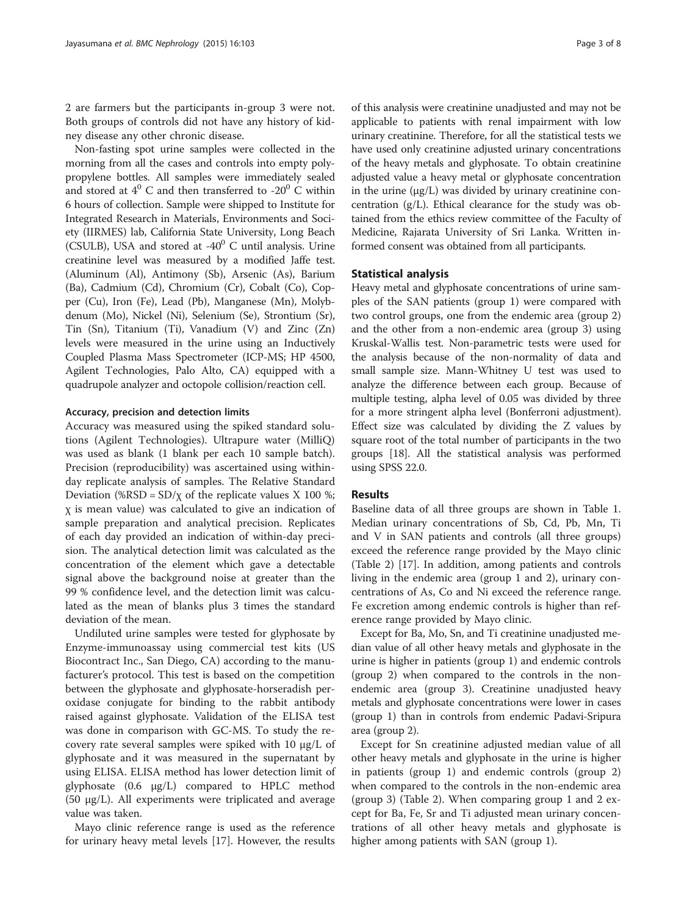2 are farmers but the participants in-group 3 were not. Both groups of controls did not have any history of kidney disease any other chronic disease.

Non-fasting spot urine samples were collected in the morning from all the cases and controls into empty polypropylene bottles. All samples were immediately sealed and stored at  $4^{\circ}$  C and then transferred to -20 $^{\circ}$  C within 6 hours of collection. Sample were shipped to Institute for Integrated Research in Materials, Environments and Society (IIRMES) lab, California State University, Long Beach (CSULB), USA and stored at -40 $^{\circ}$  C until analysis. Urine creatinine level was measured by a modified Jaffe test. (Aluminum (Al), Antimony (Sb), Arsenic (As), Barium (Ba), Cadmium (Cd), Chromium (Cr), Cobalt (Co), Copper (Cu), Iron (Fe), Lead (Pb), Manganese (Mn), Molybdenum (Mo), Nickel (Ni), Selenium (Se), Strontium (Sr), Tin (Sn), Titanium (Ti), Vanadium (V) and Zinc (Zn) levels were measured in the urine using an Inductively Coupled Plasma Mass Spectrometer (ICP-MS; HP 4500, Agilent Technologies, Palo Alto, CA) equipped with a quadrupole analyzer and octopole collision/reaction cell.

# Accuracy, precision and detection limits

Accuracy was measured using the spiked standard solutions (Agilent Technologies). Ultrapure water (MilliQ) was used as blank (1 blank per each 10 sample batch). Precision (reproducibility) was ascertained using withinday replicate analysis of samples. The Relative Standard Deviation (%RSD =  $SD/\chi$  of the replicate values X 100 %; χ is mean value) was calculated to give an indication of sample preparation and analytical precision. Replicates of each day provided an indication of within-day precision. The analytical detection limit was calculated as the concentration of the element which gave a detectable signal above the background noise at greater than the 99 % confidence level, and the detection limit was calculated as the mean of blanks plus 3 times the standard deviation of the mean.

Undiluted urine samples were tested for glyphosate by Enzyme-immunoassay using commercial test kits (US Biocontract Inc., San Diego, CA) according to the manufacturer's protocol. This test is based on the competition between the glyphosate and glyphosate-horseradish peroxidase conjugate for binding to the rabbit antibody raised against glyphosate. Validation of the ELISA test was done in comparison with GC-MS. To study the recovery rate several samples were spiked with 10 μg/L of glyphosate and it was measured in the supernatant by using ELISA. ELISA method has lower detection limit of glyphosate (0.6 μg/L) compared to HPLC method (50 μg/L). All experiments were triplicated and average value was taken.

Mayo clinic reference range is used as the reference for urinary heavy metal levels [[17\]](#page-7-0). However, the results

of this analysis were creatinine unadjusted and may not be applicable to patients with renal impairment with low urinary creatinine. Therefore, for all the statistical tests we have used only creatinine adjusted urinary concentrations of the heavy metals and glyphosate. To obtain creatinine adjusted value a heavy metal or glyphosate concentration in the urine (μg/L) was divided by urinary creatinine concentration (g/L). Ethical clearance for the study was obtained from the ethics review committee of the Faculty of Medicine, Rajarata University of Sri Lanka. Written informed consent was obtained from all participants.

#### Statistical analysis

Heavy metal and glyphosate concentrations of urine samples of the SAN patients (group 1) were compared with two control groups, one from the endemic area (group 2) and the other from a non-endemic area (group 3) using Kruskal-Wallis test. Non-parametric tests were used for the analysis because of the non-normality of data and small sample size. Mann-Whitney U test was used to analyze the difference between each group. Because of multiple testing, alpha level of 0.05 was divided by three for a more stringent alpha level (Bonferroni adjustment). Effect size was calculated by dividing the Z values by square root of the total number of participants in the two groups [[18](#page-7-0)]. All the statistical analysis was performed using SPSS 22.0.

# **Results**

Baseline data of all three groups are shown in Table [1](#page-3-0). Median urinary concentrations of Sb, Cd, Pb, Mn, Ti and V in SAN patients and controls (all three groups) exceed the reference range provided by the Mayo clinic (Table [2\)](#page-3-0) [[17](#page-7-0)]. In addition, among patients and controls living in the endemic area (group 1 and 2), urinary concentrations of As, Co and Ni exceed the reference range. Fe excretion among endemic controls is higher than reference range provided by Mayo clinic.

Except for Ba, Mo, Sn, and Ti creatinine unadjusted median value of all other heavy metals and glyphosate in the urine is higher in patients (group 1) and endemic controls (group 2) when compared to the controls in the nonendemic area (group 3). Creatinine unadjusted heavy metals and glyphosate concentrations were lower in cases (group 1) than in controls from endemic Padavi-Sripura area (group 2).

Except for Sn creatinine adjusted median value of all other heavy metals and glyphosate in the urine is higher in patients (group 1) and endemic controls (group 2) when compared to the controls in the non-endemic area (group 3) (Table [2](#page-3-0)). When comparing group 1 and 2 except for Ba, Fe, Sr and Ti adjusted mean urinary concentrations of all other heavy metals and glyphosate is higher among patients with SAN (group 1).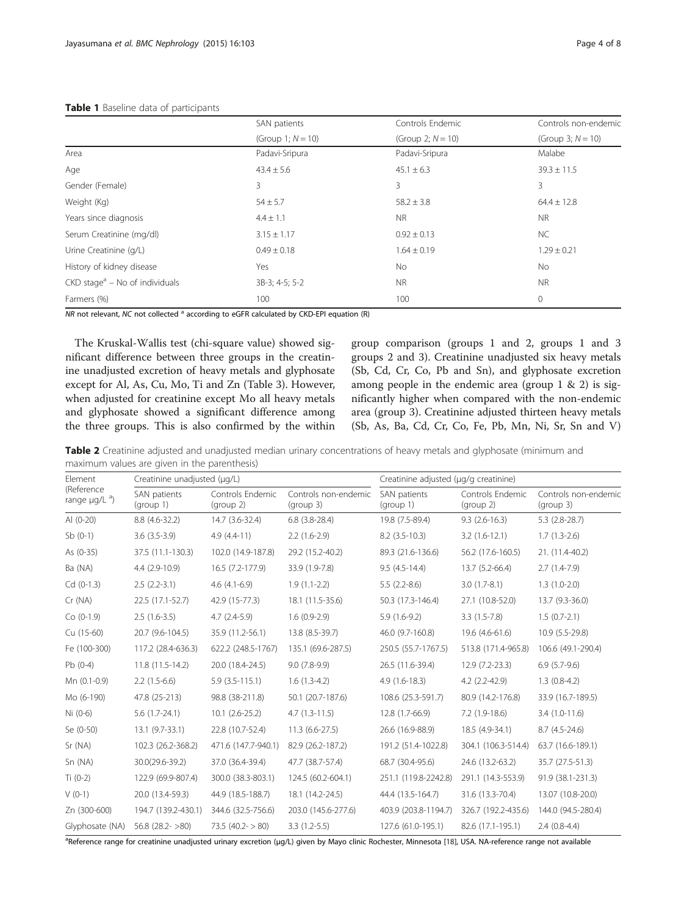<span id="page-3-0"></span>

| <b>TUDIC I</b> DUSCITIC GUILD OF DUITICIDATION |                      |                      |                                              |  |  |  |  |  |  |  |
|------------------------------------------------|----------------------|----------------------|----------------------------------------------|--|--|--|--|--|--|--|
|                                                | SAN patients         | Controls Endemic     | Controls non-endemic<br>(Group 3; $N = 10$ ) |  |  |  |  |  |  |  |
|                                                | (Group 1; $N = 10$ ) | (Group 2; $N = 10$ ) |                                              |  |  |  |  |  |  |  |
| Area                                           | Padavi-Sripura       | Padavi-Sripura       | Malabe                                       |  |  |  |  |  |  |  |
| Age                                            | $43.4 \pm 5.6$       | $45.1 \pm 6.3$       | $39.3 \pm 11.5$                              |  |  |  |  |  |  |  |
| Gender (Female)                                | 3                    | 3                    | 3                                            |  |  |  |  |  |  |  |
| Weight (Kg)                                    | $54 \pm 5.7$         | $58.2 \pm 3.8$       | $64.4 \pm 12.8$                              |  |  |  |  |  |  |  |
| Years since diagnosis                          | $4.4 \pm 1.1$        | <b>NR</b>            | N <sub>R</sub>                               |  |  |  |  |  |  |  |
| Serum Creatinine (mg/dl)                       | $3.15 \pm 1.17$      | $0.92 \pm 0.13$      | <b>NC</b>                                    |  |  |  |  |  |  |  |
| Urine Creatinine (q/L)                         | $0.49 \pm 0.18$      | $1.64 \pm 0.19$      | $1.29 \pm 0.21$                              |  |  |  |  |  |  |  |
| History of kidney disease                      | Yes                  | <b>No</b>            | <b>No</b>                                    |  |  |  |  |  |  |  |
| $CKD stagea - No of individuals$               | 3B-3; 4-5; 5-2       | NR.                  | <b>NR</b>                                    |  |  |  |  |  |  |  |
| Farmers (%)                                    | 100                  | 100                  | 0                                            |  |  |  |  |  |  |  |

 $NR$  not relevant, NC not collected  $a$  according to eGFR calculated by CKD-EPI equation (R)

The Kruskal-Wallis test (chi-square value) showed significant difference between three groups in the creatinine unadjusted excretion of heavy metals and glyphosate except for Al, As, Cu, Mo, Ti and Zn (Table [3](#page-4-0)). However, when adjusted for creatinine except Mo all heavy metals and glyphosate showed a significant difference among the three groups. This is also confirmed by the within group comparison (groups 1 and 2, groups 1 and 3 groups 2 and 3). Creatinine unadjusted six heavy metals (Sb, Cd, Cr, Co, Pb and Sn), and glyphosate excretion among people in the endemic area (group 1 & 2) is significantly higher when compared with the non-endemic area (group 3). Creatinine adjusted thirteen heavy metals (Sb, As, Ba, Cd, Cr, Co, Fe, Pb, Mn, Ni, Sr, Sn and V)

Table 2 Creatinine adjusted and unadjusted median urinary concentrations of heavy metals and glyphosate (minimum and maximum values are given in the parenthesis)

| Element                                | Creatinine unadjusted (µq/L) |                               |                                   | Creatinine adjusted (µg/g creatinine) |                               |                                   |  |  |
|----------------------------------------|------------------------------|-------------------------------|-----------------------------------|---------------------------------------|-------------------------------|-----------------------------------|--|--|
| (Reference<br>range $\mu$ g/L $^{a}$ ) | SAN patients<br>(group 1)    | Controls Endemic<br>(group 2) | Controls non-endemic<br>(group 3) | SAN patients<br>(group 1)             | Controls Endemic<br>(group 2) | Controls non-endemic<br>(group 3) |  |  |
| Al $(0-20)$                            | 8.8 (4.6-32.2)               | 14.7 (3.6-32.4)               | $6.8$ $(3.8-28.4)$                | 19.8 (7.5-89.4)                       | $9.3(2.6-16.3)$               | $5.3$ (2.8-28.7)                  |  |  |
| $Sb(0-1)$                              | $3.6(3.5-3.9)$               | $4.9(4.4-11)$                 | $2.2(1.6-2.9)$                    | $8.2$ (3.5-10.3)                      | $3.2(1.6-12.1)$               | $1.7(1.3-2.6)$                    |  |  |
| As (0-35)                              | 37.5 (11.1-130.3)            | 102.0 (14.9-187.8)            | 29.2 (15.2-40.2)                  | 89.3 (21.6-136.6)                     | 56.2 (17.6-160.5)             | 21. (11.4-40.2)                   |  |  |
| Ba (NA)                                | 4.4 (2.9-10.9)               | 16.5 (7.2-177.9)              | 33.9 (1.9-7.8)                    | $9.5(4.5-14.4)$                       | 13.7 (5.2-66.4)               | $2.7(1.4-7.9)$                    |  |  |
| $Cd (0-1.3)$                           | $2.5(2.2-3.1)$               | $4.6(4.1-6.9)$                | $1.9(1.1-2.2)$                    | $5.5(2.2-8.6)$                        | $3.0(1.7-8.1)$                | $1.3(1.0-2.0)$                    |  |  |
| Cr(NA)                                 | 22.5 (17.1-52.7)             | 42.9 (15-77.3)                | 18.1 (11.5-35.6)                  | 50.3 (17.3-146.4)                     | 27.1 (10.8-52.0)              | 13.7 (9.3-36.0)                   |  |  |
| $Co (0-1.9)$                           | $2.5(1.6-3.5)$               | $4.7(2.4-5.9)$                | $1.6(0.9-2.9)$                    | $5.9(1.6-9.2)$                        | $3.3(1.5-7.8)$                | $1.5(0.7-2.1)$                    |  |  |
| Cu (15-60)                             | 20.7 (9.6-104.5)             | 35.9 (11.2-56.1)              | 13.8 (8.5-39.7)                   | 46.0 (9.7-160.8)                      | 19.6 (4.6-61.6)               | 10.9 (5.5-29.8)                   |  |  |
| Fe (100-300)                           | 117.2 (28.4-636.3)           | 622.2 (248.5-1767)            | 135.1 (69.6-287.5)                | 250.5 (55.7-1767.5)                   | 513.8 (171.4-965.8)           | 106.6 (49.1-290.4)                |  |  |
| $Pb(0-4)$                              | 11.8 (11.5-14.2)             | 20.0 (18.4-24.5)              | $9.0(7.8-9.9)$                    | 26.5 (11.6-39.4)                      | $12.9(7.2-23.3)$              | $6.9(5.7-9.6)$                    |  |  |
| Mn (0.1-0.9)                           | $2.2(1.5-6.6)$               | $5.9(3.5-115.1)$              | $1.6(1.3-4.2)$                    | $4.9(1.6-18.3)$                       | $4.2(2.2 - 42.9)$             | $1.3(0.8-4.2)$                    |  |  |
| Mo (6-190)                             | 47.8 (25-213)                | 98.8 (38-211.8)               | 50.1 (20.7-187.6)                 | 108.6 (25.3-591.7)                    | 80.9 (14.2-176.8)             | 33.9 (16.7-189.5)                 |  |  |
| $Ni (0-6)$                             | $5.6(1.7-24.1)$              | $10.1(2.6-25.2)$              | $4.7(1.3-11.5)$                   | 12.8 (1.7-66.9)                       | $7.2(1.9-18.6)$               | $3.4(1.0-11.6)$                   |  |  |
| Se (0-50)                              | $13.1 (9.7 - 33.1)$          | 22.8 (10.7-52.4)              | $11.3(6.6-27.5)$                  | 26.6 (16.9-88.9)                      | 18.5 (4.9-34.1)               | $8.7(4.5-24.6)$                   |  |  |
| Sr (NA)                                | 102.3 (26.2-368.2)           | 471.6 (147.7-940.1)           | 82.9 (26.2-187.2)                 | 191.2 (51.4-1022.8)                   | 304.1 (106.3-514.4)           | 63.7 (16.6-189.1)                 |  |  |
| Sn (NA)                                | 30.0(29.6-39.2)              | 37.0 (36.4-39.4)              | 47.7 (38.7-57.4)                  | 68.7 (30.4-95.6)                      | 24.6 (13.2-63.2)              | 35.7 (27.5-51.3)                  |  |  |
| Ti $(0-2)$                             | 122.9 (69.9-807.4)           | 300.0 (38.3-803.1)            | 124.5 (60.2-604.1)                | 251.1 (119.8-2242.8)                  | 291.1 (14.3-553.9)            | 91.9 (38.1-231.3)                 |  |  |
| $V(0-1)$                               | 20.0 (13.4-59.3)             | 44.9 (18.5-188.7)             | 18.1 (14.2-24.5)                  | 44.4 (13.5-164.7)                     | 31.6 (13.3-70.4)              | 13.07 (10.8-20.0)                 |  |  |
| Zn (300-600)                           | 194.7 (139.2-430.1)          | 344.6 (32.5-756.6)            | 203.0 (145.6-277.6)               | 403.9 (203.8-1194.7)                  | 326.7 (192.2-435.6)           | 144.0 (94.5-280.4)                |  |  |
| Glyphosate (NA)                        | $56.8$ (28.2- $>80$ )        | $73.5 (40.2 - 80)$            | $3.3(1.2-5.5)$                    | 127.6 (61.0-195.1)                    | 82.6 (17.1-195.1)             | $2.4(0.8-4.4)$                    |  |  |

a<br>Peference range for creatinine unadjusted urinary excretion (μg/L) given by Mayo clinic Rochester, Minnesota [[18](#page-7-0)], USA. NA-reference range not available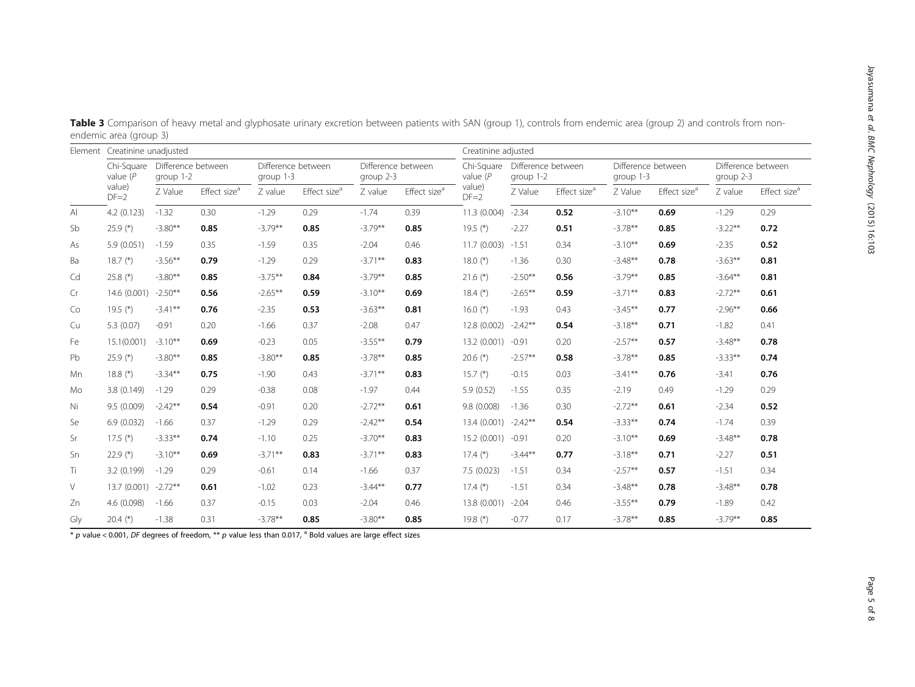|        | Element Creatinine unadjusted                |                                 |                          |                                 |                          |                                 | Creatinine adjusted      |                           |                                 |                          |                                 |                          |                                 |                          |
|--------|----------------------------------------------|---------------------------------|--------------------------|---------------------------------|--------------------------|---------------------------------|--------------------------|---------------------------|---------------------------------|--------------------------|---------------------------------|--------------------------|---------------------------------|--------------------------|
|        | Chi-Square<br>value $(P$<br>value)<br>$DF=2$ | Difference between<br>group 1-2 |                          | Difference between<br>group 1-3 |                          | Difference between<br>group 2-3 |                          | Chi-Square<br>value $(P)$ | Difference between<br>group 1-2 |                          | Difference between<br>group 1-3 |                          | Difference between<br>group 2-3 |                          |
|        |                                              | Z Value                         | Effect size <sup>a</sup> | Z value                         | Effect size <sup>a</sup> | Z value                         | Effect size <sup>a</sup> | value)<br>$DF=2$          | Z Value                         | Effect size <sup>a</sup> | Z Value                         | Effect size <sup>a</sup> | Z value                         | Effect size <sup>a</sup> |
| AI     | 4.2(0.123)                                   | $-1.32$                         | 0.30                     | $-1.29$                         | 0.29                     | $-1.74$                         | 0.39                     | 11.3 (0.004)              | $-2.34$                         | 0.52                     | $-3.10***$                      | 0.69                     | $-1.29$                         | 0.29                     |
| Sb     | 25.9 $(*)$                                   | $-3.80**$                       | 0.85                     | $-3.79**$                       | 0.85                     | $-3.79**$                       | 0.85                     | 19.5 $(*)$                | $-2.27$                         | 0.51                     | $-3.78**$                       | 0.85                     | $-3.22**$                       | 0.72                     |
| As     | 5.9(0.051)                                   | $-1.59$                         | 0.35                     | $-1.59$                         | 0.35                     | $-2.04$                         | 0.46                     | 11.7 (0.003)              | $-1.51$                         | 0.34                     | $-3.10***$                      | 0.69                     | $-2.35$                         | 0.52                     |
| Ba     | $18.7$ (*)                                   | $-3.56***$                      | 0.79                     | $-1.29$                         | 0.29                     | $-3.71***$                      | 0.83                     | 18.0 $(*)$                | $-1.36$                         | 0.30                     | $-3.48**$                       | 0.78                     | $-3.63**$                       | 0.81                     |
| Cd     | 25.8 $(*)$                                   | $-3.80**$                       | 0.85                     | $-3.75***$                      | 0.84                     | $-3.79**$                       | 0.85                     | $21.6$ (*)                | $-2.50**$                       | 0.56                     | $-3.79**$                       | 0.85                     | $-3.64***$                      | 0.81                     |
| Cr     | 14.6 (0.001)                                 | $-2.50***$                      | 0.56                     | $-2.65***$                      | 0.59                     | $-3.10***$                      | 0.69                     | $18.4$ $(*)$              | $-2.65***$                      | 0.59                     | $-3.71**$                       | 0.83                     | $-2.72**$                       | 0.61                     |
| Co     | 19.5 $(*)$                                   | $-3.41***$                      | 0.76                     | $-2.35$                         | 0.53                     | $-3.63***$                      | 0.81                     | 16.0 $(*)$                | $-1.93$                         | 0.43                     | $-3.45***$                      | 0.77                     | $-2.96**$                       | 0.66                     |
| Cu     | 5.3(0.07)                                    | $-0.91$                         | 0.20                     | $-1.66$                         | 0.37                     | $-2.08$                         | 0.47                     | 12.8(0.002)               | $-2.42**$                       | 0.54                     | $-3.18***$                      | 0.71                     | $-1.82$                         | 0.41                     |
| Fe     | 15.1(0.001)                                  | $-3.10***$                      | 0.69                     | $-0.23$                         | 0.05                     | $-3.55***$                      | 0.79                     | 13.2(0.001)               | $-0.91$                         | 0.20                     | $-2.57**$                       | 0.57                     | $-3.48**$                       | 0.78                     |
| Pb     | $25.9$ (*)                                   | $-3.80**$                       | 0.85                     | $-3.80**$                       | 0.85                     | $-3.78**$                       | 0.85                     | 20.6 $(*)$                | $-2.57**$                       | 0.58                     | $-3.78***$                      | 0.85                     | $-3.33***$                      | 0.74                     |
| Mn     | 18.8 $(*)$                                   | $-3.34***$                      | 0.75                     | $-1.90$                         | 0.43                     | $-3.71***$                      | 0.83                     | $15.7$ $(*)$              | $-0.15$                         | 0.03                     | $-3.41***$                      | 0.76                     | $-3.41$                         | 0.76                     |
| Mo     | 3.8(0.149)                                   | $-1.29$                         | 0.29                     | $-0.38$                         | 0.08                     | $-1.97$                         | 0.44                     | 5.9(0.52)                 | $-1.55$                         | 0.35                     | $-2.19$                         | 0.49                     | $-1.29$                         | 0.29                     |
| Ni     | 9.5 (0.009)                                  | $-2.42**$                       | 0.54                     | $-0.91$                         | 0.20                     | $-2.72**$                       | 0.61                     | 9.8 (0.008)               | $-1.36$                         | 0.30                     | $-2.72**$                       | 0.61                     | $-2.34$                         | 0.52                     |
| Se     | 6.9(0.032)                                   | $-1.66$                         | 0.37                     | $-1.29$                         | 0.29                     | $-2.42**$                       | 0.54                     | 13.4 (0.001)              | $-2.42**$                       | 0.54                     | $-3.33**$                       | 0.74                     | $-1.74$                         | 0.39                     |
| Sr     | $17.5$ (*)                                   | $-3.33**$                       | 0.74                     | $-1.10$                         | 0.25                     | $-3.70**$                       | 0.83                     | 15.2(0.001)               | $-0.91$                         | 0.20                     | $-3.10***$                      | 0.69                     | $-3.48**$                       | 0.78                     |
| Sn     | 22.9 $(*)$                                   | $-3.10***$                      | 0.69                     | $-3.71**$                       | 0.83                     | $-3.71***$                      | 0.83                     | $17.4$ (*)                | $-3.44**$                       | 0.77                     | $-3.18***$                      | 0.71                     | $-2.27$                         | 0.51                     |
| Tì     | 3.2 (0.199)                                  | $-1.29$                         | 0.29                     | $-0.61$                         | 0.14                     | $-1.66$                         | 0.37                     | 7.5(0.023)                | $-1.51$                         | 0.34                     | $-2.57**$                       | 0.57                     | $-1.51$                         | 0.34                     |
| $\vee$ | 13.7 (0.001) -2.72**                         |                                 | 0.61                     | $-1.02$                         | 0.23                     | $-3.44**$                       | 0.77                     | $17.4$ $(*)$              | $-1.51$                         | 0.34                     | $-3.48**$                       | 0.78                     | $-3.48**$                       | 0.78                     |
| Zn     | 4.6 (0.098)                                  | $-1.66$                         | 0.37                     | $-0.15$                         | 0.03                     | $-2.04$                         | 0.46                     | 13.8 (0.001)              | $-2.04$                         | 0.46                     | $-3.55***$                      | 0.79                     | $-1.89$                         | 0.42                     |
| Gly    | $20.4$ (*)                                   | $-1.38$                         | 0.31                     | $-3.78**$                       | 0.85                     | $-3.80**$                       | 0.85                     | 19.8 $(*)$                | $-0.77$                         | 0.17                     | $-3.78**$                       | 0.85                     | $-3.79**$                       | 0.85                     |

<span id="page-4-0"></span>Table 3 Comparison of heavy metal and glyphosate urinary excretion between patients with SAN (group 1), controls from endemic area (group 2) and controls from nonendemic area (group 3)

 $\overline{\phi}$   $\overline{\phi}$  p value < 0.001, DF degrees of freedom, \*\* p value less than 0.017,  $\overline{\phi}$  Bold values are large effect sizes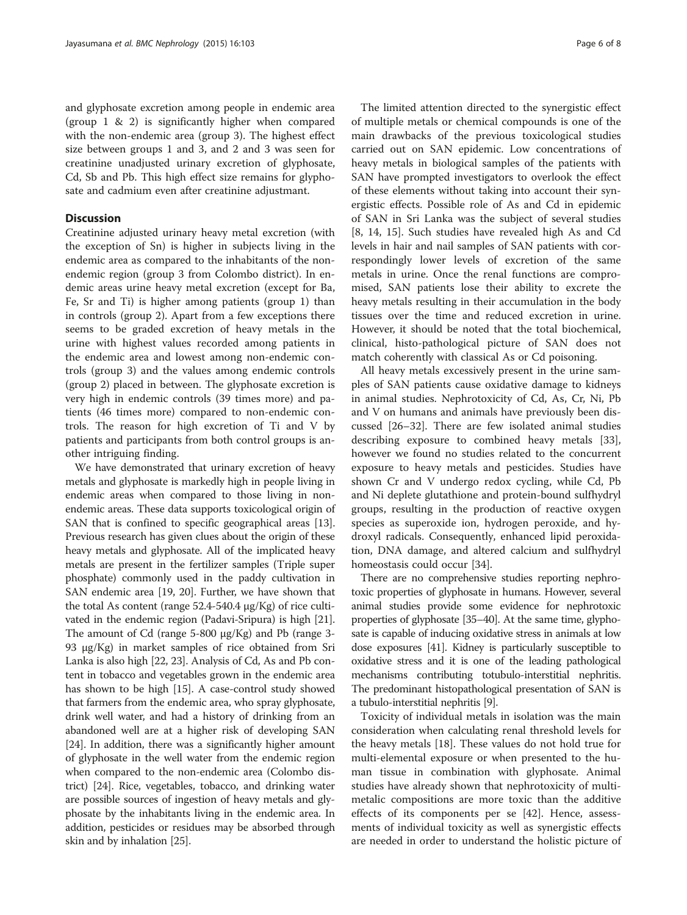and glyphosate excretion among people in endemic area (group 1 & 2) is significantly higher when compared with the non-endemic area (group 3). The highest effect size between groups 1 and 3, and 2 and 3 was seen for creatinine unadjusted urinary excretion of glyphosate, Cd, Sb and Pb. This high effect size remains for glyphosate and cadmium even after creatinine adjustmant.

# **Discussion**

Creatinine adjusted urinary heavy metal excretion (with the exception of Sn) is higher in subjects living in the endemic area as compared to the inhabitants of the nonendemic region (group 3 from Colombo district). In endemic areas urine heavy metal excretion (except for Ba, Fe, Sr and Ti) is higher among patients (group 1) than in controls (group 2). Apart from a few exceptions there seems to be graded excretion of heavy metals in the urine with highest values recorded among patients in the endemic area and lowest among non-endemic controls (group 3) and the values among endemic controls (group 2) placed in between. The glyphosate excretion is very high in endemic controls (39 times more) and patients (46 times more) compared to non-endemic controls. The reason for high excretion of Ti and V by patients and participants from both control groups is another intriguing finding.

We have demonstrated that urinary excretion of heavy metals and glyphosate is markedly high in people living in endemic areas when compared to those living in nonendemic areas. These data supports toxicological origin of SAN that is confined to specific geographical areas [[13](#page-7-0)]. Previous research has given clues about the origin of these heavy metals and glyphosate. All of the implicated heavy metals are present in the fertilizer samples (Triple super phosphate) commonly used in the paddy cultivation in SAN endemic area [\[19, 20](#page-7-0)]. Further, we have shown that the total As content (range 52.4-540.4 μg/Kg) of rice cultivated in the endemic region (Padavi-Sripura) is high [[21](#page-7-0)]. The amount of Cd (range 5-800 μg/Kg) and Pb (range 3- 93 μg/Kg) in market samples of rice obtained from Sri Lanka is also high [\[22, 23\]](#page-7-0). Analysis of Cd, As and Pb content in tobacco and vegetables grown in the endemic area has shown to be high [\[15\]](#page-7-0). A case-control study showed that farmers from the endemic area, who spray glyphosate, drink well water, and had a history of drinking from an abandoned well are at a higher risk of developing SAN [[24](#page-7-0)]. In addition, there was a significantly higher amount of glyphosate in the well water from the endemic region when compared to the non-endemic area (Colombo district) [[24](#page-7-0)]. Rice, vegetables, tobacco, and drinking water are possible sources of ingestion of heavy metals and glyphosate by the inhabitants living in the endemic area. In addition, pesticides or residues may be absorbed through skin and by inhalation [[25](#page-7-0)].

The limited attention directed to the synergistic effect of multiple metals or chemical compounds is one of the main drawbacks of the previous toxicological studies carried out on SAN epidemic. Low concentrations of heavy metals in biological samples of the patients with SAN have prompted investigators to overlook the effect of these elements without taking into account their synergistic effects. Possible role of As and Cd in epidemic of SAN in Sri Lanka was the subject of several studies [[8, 14, 15\]](#page-7-0). Such studies have revealed high As and Cd levels in hair and nail samples of SAN patients with correspondingly lower levels of excretion of the same metals in urine. Once the renal functions are compromised, SAN patients lose their ability to excrete the heavy metals resulting in their accumulation in the body tissues over the time and reduced excretion in urine. However, it should be noted that the total biochemical, clinical, histo-pathological picture of SAN does not match coherently with classical As or Cd poisoning.

All heavy metals excessively present in the urine samples of SAN patients cause oxidative damage to kidneys in animal studies. Nephrotoxicity of Cd, As, Cr, Ni, Pb and V on humans and animals have previously been discussed [[26](#page-7-0)–[32](#page-7-0)]. There are few isolated animal studies describing exposure to combined heavy metals [\[33](#page-7-0)], however we found no studies related to the concurrent exposure to heavy metals and pesticides. Studies have shown Cr and V undergo redox cycling, while Cd, Pb and Ni deplete glutathione and protein-bound sulfhydryl groups, resulting in the production of reactive oxygen species as superoxide ion, hydrogen peroxide, and hydroxyl radicals. Consequently, enhanced lipid peroxidation, DNA damage, and altered calcium and sulfhydryl homeostasis could occur [[34\]](#page-7-0).

There are no comprehensive studies reporting nephrotoxic properties of glyphosate in humans. However, several animal studies provide some evidence for nephrotoxic properties of glyphosate [\[35](#page-7-0)–[40\]](#page-7-0). At the same time, glyphosate is capable of inducing oxidative stress in animals at low dose exposures [\[41\]](#page-7-0). Kidney is particularly susceptible to oxidative stress and it is one of the leading pathological mechanisms contributing totubulo-interstitial nephritis. The predominant histopathological presentation of SAN is a tubulo-interstitial nephritis [\[9\]](#page-7-0).

Toxicity of individual metals in isolation was the main consideration when calculating renal threshold levels for the heavy metals [\[18\]](#page-7-0). These values do not hold true for multi-elemental exposure or when presented to the human tissue in combination with glyphosate. Animal studies have already shown that nephrotoxicity of multimetalic compositions are more toxic than the additive effects of its components per se [\[42](#page-7-0)]. Hence, assessments of individual toxicity as well as synergistic effects are needed in order to understand the holistic picture of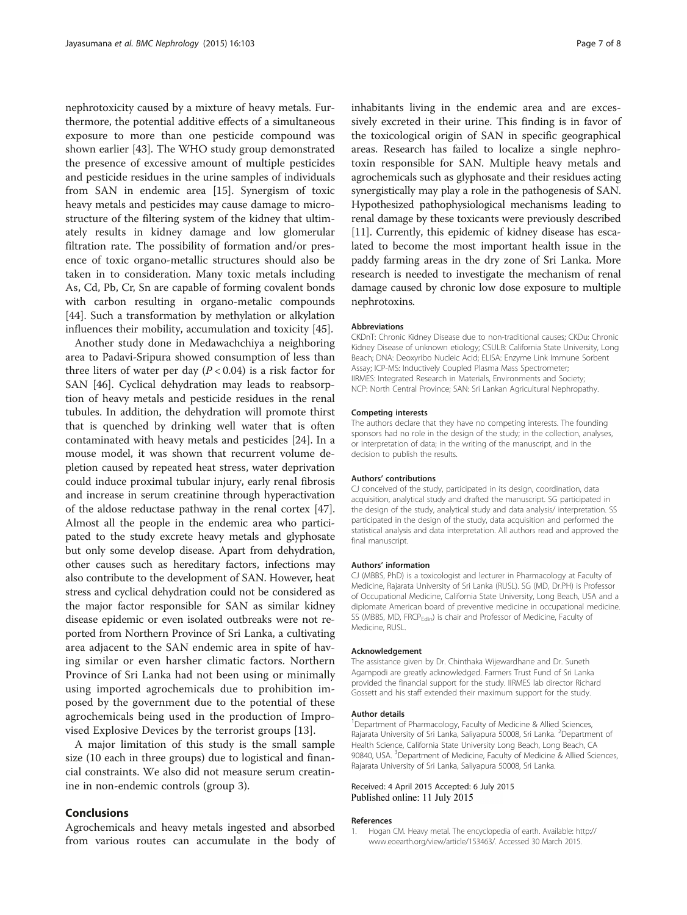<span id="page-6-0"></span>nephrotoxicity caused by a mixture of heavy metals. Furthermore, the potential additive effects of a simultaneous exposure to more than one pesticide compound was shown earlier [[43\]](#page-7-0). The WHO study group demonstrated the presence of excessive amount of multiple pesticides and pesticide residues in the urine samples of individuals from SAN in endemic area [[15\]](#page-7-0). Synergism of toxic heavy metals and pesticides may cause damage to microstructure of the filtering system of the kidney that ultimately results in kidney damage and low glomerular filtration rate. The possibility of formation and/or presence of toxic organo-metallic structures should also be taken in to consideration. Many toxic metals including As, Cd, Pb, Cr, Sn are capable of forming covalent bonds with carbon resulting in organo-metalic compounds [[44\]](#page-7-0). Such a transformation by methylation or alkylation influences their mobility, accumulation and toxicity [[45\]](#page-7-0).

Another study done in Medawachchiya a neighboring area to Padavi-Sripura showed consumption of less than three liters of water per day  $(P < 0.04)$  is a risk factor for SAN [[46](#page-7-0)]. Cyclical dehydration may leads to reabsorption of heavy metals and pesticide residues in the renal tubules. In addition, the dehydration will promote thirst that is quenched by drinking well water that is often contaminated with heavy metals and pesticides [\[24\]](#page-7-0). In a mouse model, it was shown that recurrent volume depletion caused by repeated heat stress, water deprivation could induce proximal tubular injury, early renal fibrosis and increase in serum creatinine through hyperactivation of the aldose reductase pathway in the renal cortex [[47](#page-7-0)]. Almost all the people in the endemic area who participated to the study excrete heavy metals and glyphosate but only some develop disease. Apart from dehydration, other causes such as hereditary factors, infections may also contribute to the development of SAN. However, heat stress and cyclical dehydration could not be considered as the major factor responsible for SAN as similar kidney disease epidemic or even isolated outbreaks were not reported from Northern Province of Sri Lanka, a cultivating area adjacent to the SAN endemic area in spite of having similar or even harsher climatic factors. Northern Province of Sri Lanka had not been using or minimally using imported agrochemicals due to prohibition imposed by the government due to the potential of these agrochemicals being used in the production of Improvised Explosive Devices by the terrorist groups [\[13](#page-7-0)].

A major limitation of this study is the small sample size (10 each in three groups) due to logistical and financial constraints. We also did not measure serum creatinine in non-endemic controls (group 3).

### Conclusions

Agrochemicals and heavy metals ingested and absorbed from various routes can accumulate in the body of inhabitants living in the endemic area and are excessively excreted in their urine. This finding is in favor of the toxicological origin of SAN in specific geographical areas. Research has failed to localize a single nephrotoxin responsible for SAN. Multiple heavy metals and agrochemicals such as glyphosate and their residues acting synergistically may play a role in the pathogenesis of SAN. Hypothesized pathophysiological mechanisms leading to renal damage by these toxicants were previously described [[11](#page-7-0)]. Currently, this epidemic of kidney disease has escalated to become the most important health issue in the paddy farming areas in the dry zone of Sri Lanka. More research is needed to investigate the mechanism of renal damage caused by chronic low dose exposure to multiple nephrotoxins.

#### Abbreviations

CKDnT: Chronic Kidney Disease due to non-traditional causes; CKDu: Chronic Kidney Disease of unknown etiology; CSULB: California State University, Long Beach; DNA: Deoxyribo Nucleic Acid; ELISA: Enzyme Link Immune Sorbent Assay; ICP-MS: Inductively Coupled Plasma Mass Spectrometer; IIRMES: Integrated Research in Materials, Environments and Society; NCP: North Central Province; SAN: Sri Lankan Agricultural Nephropathy.

#### Competing interests

The authors declare that they have no competing interests. The founding sponsors had no role in the design of the study; in the collection, analyses, or interpretation of data; in the writing of the manuscript, and in the decision to publish the results.

#### Authors' contributions

CJ conceived of the study, participated in its design, coordination, data acquisition, analytical study and drafted the manuscript. SG participated in the design of the study, analytical study and data analysis/ interpretation. SS participated in the design of the study, data acquisition and performed the statistical analysis and data interpretation. All authors read and approved the final manuscript.

#### Authors' information

CJ (MBBS, PhD) is a toxicologist and lecturer in Pharmacology at Faculty of Medicine, Rajarata University of Sri Lanka (RUSL). SG (MD, Dr.PH) is Professor of Occupational Medicine, California State University, Long Beach, USA and a diplomate American board of preventive medicine in occupational medicine. SS (MBBS, MD, FRCP<sub>Edin</sub>) is chair and Professor of Medicine, Faculty of Medicine, RUSL.

#### Acknowledgement

The assistance given by Dr. Chinthaka Wijewardhane and Dr. Suneth Agampodi are greatly acknowledged. Farmers Trust Fund of Sri Lanka provided the financial support for the study. IIRMES lab director Richard Gossett and his staff extended their maximum support for the study.

#### Author details

<sup>1</sup> Department of Pharmacology, Faculty of Medicine & Allied Sciences, Rajarata University of Sri Lanka, Saliyapura 50008, Sri Lanka. <sup>2</sup>Department of Health Science, California State University Long Beach, Long Beach, CA 90840, USA. <sup>3</sup> Department of Medicine, Faculty of Medicine & Allied Sciences Rajarata University of Sri Lanka, Saliyapura 50008, Sri Lanka.

## Received: 4 April 2015 Accepted: 6 July 2015 Published online: 11 July 2015

#### References

1. Hogan CM. Heavy metal. The encyclopedia of earth. Available: [http://](http://www.eoearth.org/view/article/153463/) [www.eoearth.org/view/article/153463/](http://www.eoearth.org/view/article/153463/). Accessed 30 March 2015.